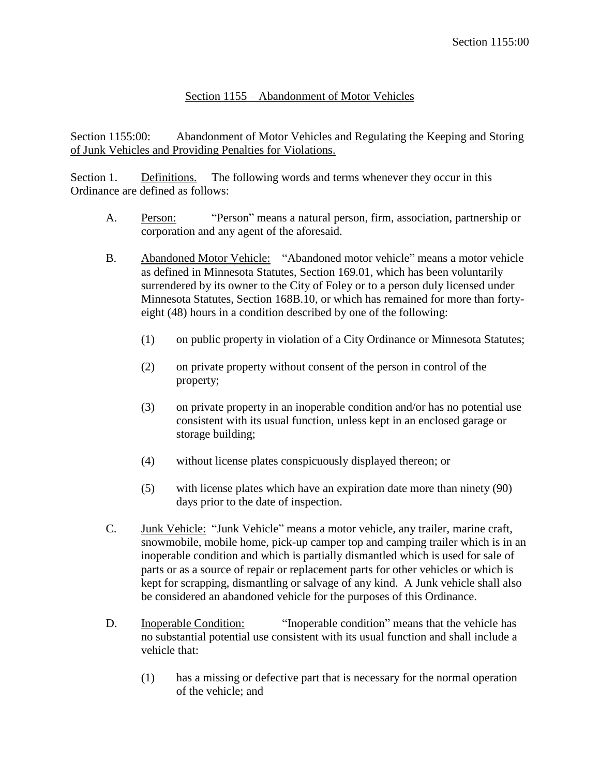## Section 1155 – Abandonment of Motor Vehicles

Section 1155:00: Abandonment of Motor Vehicles and Regulating the Keeping and Storing of Junk Vehicles and Providing Penalties for Violations.

Section 1. Definitions. The following words and terms whenever they occur in this Ordinance are defined as follows:

- A. Person: "Person" means a natural person, firm, association, partnership or corporation and any agent of the aforesaid.
- B. Abandoned Motor Vehicle: "Abandoned motor vehicle" means a motor vehicle as defined in Minnesota Statutes, Section 169.01, which has been voluntarily surrendered by its owner to the City of Foley or to a person duly licensed under Minnesota Statutes, Section 168B.10, or which has remained for more than fortyeight (48) hours in a condition described by one of the following:
	- (1) on public property in violation of a City Ordinance or Minnesota Statutes;
	- (2) on private property without consent of the person in control of the property;
	- (3) on private property in an inoperable condition and/or has no potential use consistent with its usual function, unless kept in an enclosed garage or storage building;
	- (4) without license plates conspicuously displayed thereon; or
	- (5) with license plates which have an expiration date more than ninety (90) days prior to the date of inspection.
- C. Junk Vehicle: "Junk Vehicle" means a motor vehicle, any trailer, marine craft, snowmobile, mobile home, pick-up camper top and camping trailer which is in an inoperable condition and which is partially dismantled which is used for sale of parts or as a source of repair or replacement parts for other vehicles or which is kept for scrapping, dismantling or salvage of any kind. A Junk vehicle shall also be considered an abandoned vehicle for the purposes of this Ordinance.
- D. Inoperable Condition: "Inoperable condition" means that the vehicle has no substantial potential use consistent with its usual function and shall include a vehicle that:
	- (1) has a missing or defective part that is necessary for the normal operation of the vehicle; and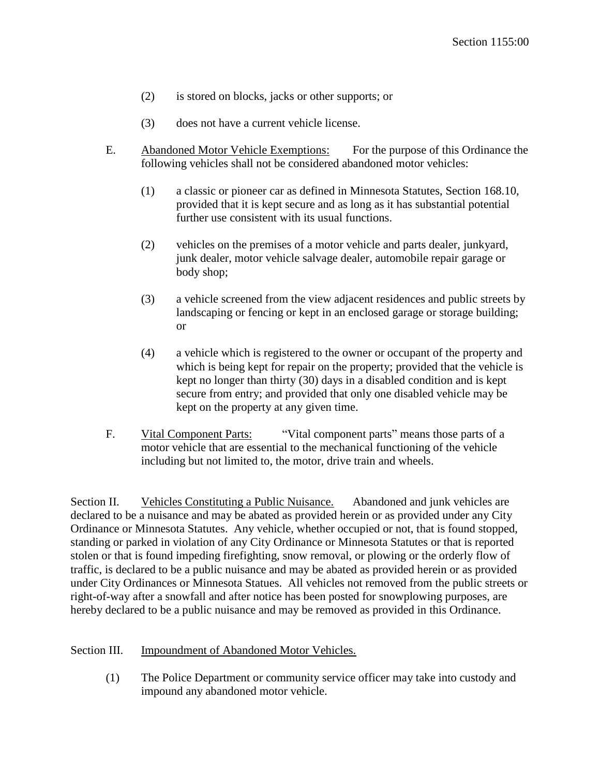- (2) is stored on blocks, jacks or other supports; or
- (3) does not have a current vehicle license.
- E. Abandoned Motor Vehicle Exemptions: For the purpose of this Ordinance the following vehicles shall not be considered abandoned motor vehicles:
	- (1) a classic or pioneer car as defined in Minnesota Statutes, Section 168.10, provided that it is kept secure and as long as it has substantial potential further use consistent with its usual functions.
	- (2) vehicles on the premises of a motor vehicle and parts dealer, junkyard, junk dealer, motor vehicle salvage dealer, automobile repair garage or body shop;
	- (3) a vehicle screened from the view adjacent residences and public streets by landscaping or fencing or kept in an enclosed garage or storage building; or
	- (4) a vehicle which is registered to the owner or occupant of the property and which is being kept for repair on the property; provided that the vehicle is kept no longer than thirty (30) days in a disabled condition and is kept secure from entry; and provided that only one disabled vehicle may be kept on the property at any given time.
- F. Vital Component Parts: "Vital component parts" means those parts of a motor vehicle that are essential to the mechanical functioning of the vehicle including but not limited to, the motor, drive train and wheels.

Section II. Vehicles Constituting a Public Nuisance. Abandoned and junk vehicles are declared to be a nuisance and may be abated as provided herein or as provided under any City Ordinance or Minnesota Statutes. Any vehicle, whether occupied or not, that is found stopped, standing or parked in violation of any City Ordinance or Minnesota Statutes or that is reported stolen or that is found impeding firefighting, snow removal, or plowing or the orderly flow of traffic, is declared to be a public nuisance and may be abated as provided herein or as provided under City Ordinances or Minnesota Statues. All vehicles not removed from the public streets or right-of-way after a snowfall and after notice has been posted for snowplowing purposes, are hereby declared to be a public nuisance and may be removed as provided in this Ordinance.

## Section III. Impoundment of Abandoned Motor Vehicles.

(1) The Police Department or community service officer may take into custody and impound any abandoned motor vehicle.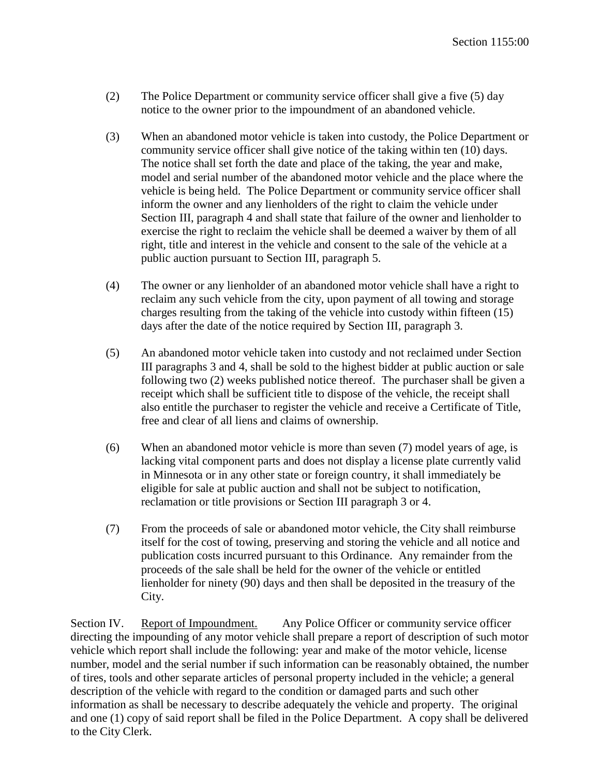- (2) The Police Department or community service officer shall give a five (5) day notice to the owner prior to the impoundment of an abandoned vehicle.
- (3) When an abandoned motor vehicle is taken into custody, the Police Department or community service officer shall give notice of the taking within ten (10) days. The notice shall set forth the date and place of the taking, the year and make, model and serial number of the abandoned motor vehicle and the place where the vehicle is being held. The Police Department or community service officer shall inform the owner and any lienholders of the right to claim the vehicle under Section III, paragraph 4 and shall state that failure of the owner and lienholder to exercise the right to reclaim the vehicle shall be deemed a waiver by them of all right, title and interest in the vehicle and consent to the sale of the vehicle at a public auction pursuant to Section III, paragraph 5.
- (4) The owner or any lienholder of an abandoned motor vehicle shall have a right to reclaim any such vehicle from the city, upon payment of all towing and storage charges resulting from the taking of the vehicle into custody within fifteen (15) days after the date of the notice required by Section III, paragraph 3.
- (5) An abandoned motor vehicle taken into custody and not reclaimed under Section III paragraphs 3 and 4, shall be sold to the highest bidder at public auction or sale following two (2) weeks published notice thereof. The purchaser shall be given a receipt which shall be sufficient title to dispose of the vehicle, the receipt shall also entitle the purchaser to register the vehicle and receive a Certificate of Title, free and clear of all liens and claims of ownership.
- (6) When an abandoned motor vehicle is more than seven (7) model years of age, is lacking vital component parts and does not display a license plate currently valid in Minnesota or in any other state or foreign country, it shall immediately be eligible for sale at public auction and shall not be subject to notification, reclamation or title provisions or Section III paragraph 3 or 4.
- (7) From the proceeds of sale or abandoned motor vehicle, the City shall reimburse itself for the cost of towing, preserving and storing the vehicle and all notice and publication costs incurred pursuant to this Ordinance. Any remainder from the proceeds of the sale shall be held for the owner of the vehicle or entitled lienholder for ninety (90) days and then shall be deposited in the treasury of the City.

Section IV. Report of Impoundment. Any Police Officer or community service officer directing the impounding of any motor vehicle shall prepare a report of description of such motor vehicle which report shall include the following: year and make of the motor vehicle, license number, model and the serial number if such information can be reasonably obtained, the number of tires, tools and other separate articles of personal property included in the vehicle; a general description of the vehicle with regard to the condition or damaged parts and such other information as shall be necessary to describe adequately the vehicle and property. The original and one (1) copy of said report shall be filed in the Police Department. A copy shall be delivered to the City Clerk.